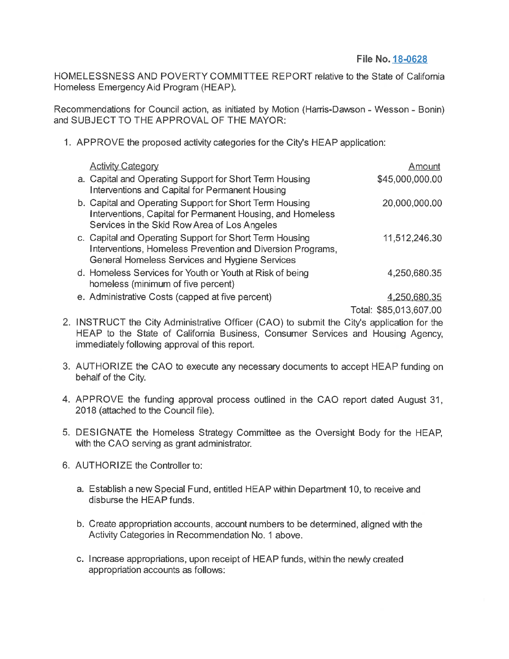## **File No. 18-0628**

HOMELESSNESS AND POVERTY COMMITTEE REPORT relative to the State of California Homeless Emergency Aid Program (HEAP).

Recommendations for Council action, as initiated by Motion (Harris-Dawson - Wesson - Bonin) and SUBJECT TO THE APPROVAL OF THE MAYOR:

1. APPROVE the proposed activity categories for the City's HEAP application:

| <b>Activity Category</b>                                                                                                                                                | Amount          |
|-------------------------------------------------------------------------------------------------------------------------------------------------------------------------|-----------------|
| a. Capital and Operating Support for Short Term Housing<br>Interventions and Capital for Permanent Housing                                                              | \$45,000,000.00 |
| b. Capital and Operating Support for Short Term Housing<br>Interventions, Capital for Permanent Housing, and Homeless<br>Services in the Skid Row Area of Los Angeles   | 20,000,000.00   |
| c. Capital and Operating Support for Short Term Housing<br>Interventions, Homeless Prevention and Diversion Programs,<br>General Homeless Services and Hygiene Services | 11,512,246.30   |
| d. Homeless Services for Youth or Youth at Risk of being<br>homeless (minimum of five percent)                                                                          | 4,250,680.35    |
| e. Administrative Costs (capped at five percent)                                                                                                                        |                 |

Total: \$85,013,607.00

- 2. INSTRUCT the City Administrative Officer (CAO) to submit the City's application for the HEAP to the State of California Business, Consumer Services and Housing Agency, immediately following approval of this report.
- 3. AUTHORIZE the CAO to execute any necessary documents to accept HEAP funding on behalf of the City.
- 4. APPROVE the funding approval process outlined in the GAO report dated August 31, 2018 (attached to the Council file).
- 5. DESIGNATE the Homeless Strategy Committee as the Oversight Body for the HEAP, with the CAO serving as grant administrator.
- 6. AUTHORIZE the Controller to:
	- a. Establish a new Special Fund, entitled HEAP within Department 10, to receive and disburse the HEAP funds.
	- b. Create appropriation accounts, account numbers to be determined, aligned with the Activity Categories in Recommendation No. 1 above.
	- c. Increase appropriations, upon receipt of HEAP funds, within the newly created appropriation accounts as follows: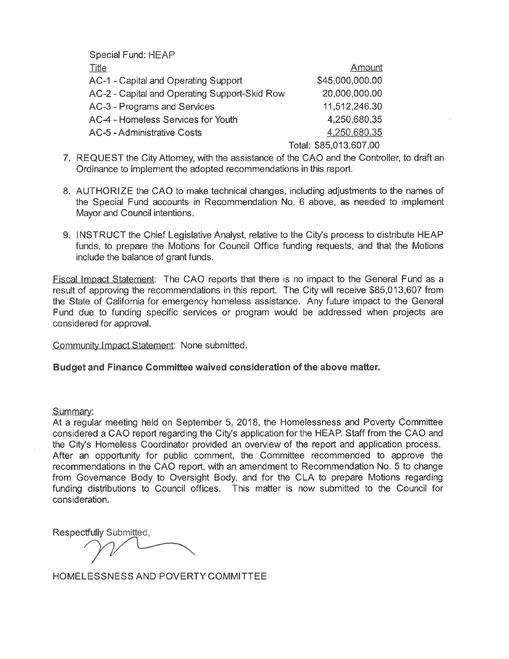Special Fund: HEAP

| <b>Title</b>                                  | Amount                 |
|-----------------------------------------------|------------------------|
| AC-1 - Capital and Operating Support          | \$45,000,000.00        |
| AC-2 - Capital and Operating Support-Skid Row | 20,000,000.00          |
| AC-3 - Programs and Services                  | 11,512,246.30          |
| AC-4 - Homeless Services for Youth            | 4.250.680.35           |
| AC-5 - Administrative Costs                   | 4,250,680.35           |
|                                               | Total: \$85,013,607.00 |

- 7. REQUEST the City Attorney, with the assistance of the GAO and the Controller, to draft an Ordinance to implement the adopted recommendations in this report.
- 8. AUTHORIZE the GAO to make technical changes, including adjustments to the names of the Special Fund accounts in Recommendation No. 6 above, as needed to implement Mayor and Council intentions.
- 9. INSTRUCT the Chief Legislative Analyst, relative to the City's process to distribute HEAP funds, to prepare the Motions for Council Office funding requests, and that the Motions include the balance of grant funds.

Fiscal Impact Statement: The GAO reports that there is no impact to the General Fund as a result of approving the recommendations in this report. The City will receive \$85,013,607 from the State of California for emergency homeless assistance. Any future impact to the General Fund due to funding specific services or program would be addressed when projects are considered for approval.

Community Impact Statement: None submitted.

## **Budget and Finance Committee waived consideration of the above matter.**

## Summary:

At a regular meeting held on September 5, 2018, the Homelessness and Poverty Committee considered a GAO report regarding the City's application for the HEAP. Staff from the GAO and the City's Homeless Coordinator provided an overview of the report and application process. After an opportunity for public comment, the Committee recommended to approve the recommendations in the CAO report, with an amendment to Recommendation No. 5 to change from Governance Body to Oversight Body, and for the CLA to prepare Motions regarding funding distributions to Council offices. This matter is now submitted to the Council for consideration.

Respectfully Submitted,

HOMELESSNESS AND POVERTY COMMITTEE